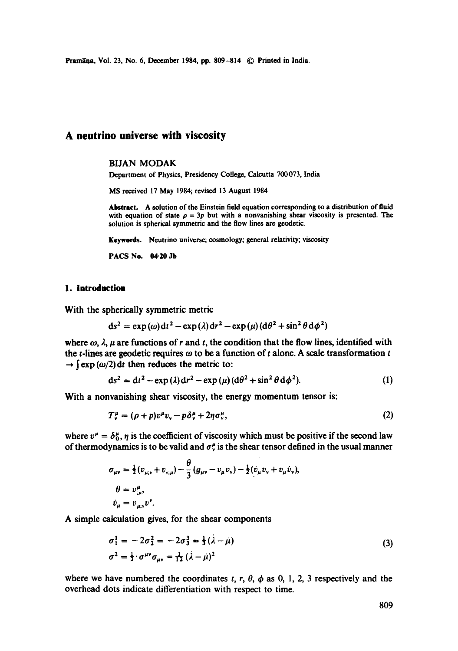Pramāņa, Vol. 23, No. 6, December 1984, pp. 809-814 © Printed in India.

# **A neutrino universe with viscosity**

#### BIJAN MODAK

Department of Physics, Presidency College, Calcutta 700073, India

MS received 17 May 1984; revised 13 August 1984

Abstract. A solution of the Einstein field equation corresponding to a distribution of fluid with equation of state  $\rho = 3p$  but with a nonvanishing shear viscosity is presented. The solution is spherical symmetric and the flow lines are geodetic.

Keywords. Neutrino universe; cosmology; general relativity; viscosity

PACS No. 04.20 Jb

#### 1. **Introduction**

With the spherically symmetric metric

$$
ds^{2} = \exp(\omega) dt^{2} - \exp(\lambda) dr^{2} - \exp(\mu) (d\theta^{2} + \sin^{2} \theta d\phi^{2})
$$

where  $\omega$ ,  $\lambda$ ,  $\mu$  are functions of r and t, the condition that the flow lines, identified with the t-lines are geodetic requires  $\omega$  to be a function of t alone. A scale transformation t  $\rightarrow$   $(\exp(\omega/2))$  dt then reduces the metric to:

$$
ds2 = dt2 - exp(\lambda) dr2 - exp(\mu) (d\theta2 + sin2 \theta d\phi2). \t(1)
$$

With a nonvanishing shear viscosity, the energy momentum tensor is:

$$
T_v^{\mu} = (\rho + p)v^{\mu}v_v - p\delta_v^{\mu} + 2\eta\sigma_v^{\mu}, \qquad (2)
$$

where  $v^{\mu} = \delta_0^{\mu}$ ,  $\eta$  is the coefficient of viscosity which must be positive if the second law of thermodynamics is to be valid and  $\sigma_v^{\mu}$  is the shear tensor defined in the usual manner

$$
\sigma_{\mu\nu} = \frac{1}{2} (v_{\mu;\nu} + v_{\nu;\mu}) - \frac{\theta}{3} (g_{\mu\nu} - v_{\mu} v_{\nu}) - \frac{1}{2} (v_{\mu} v_{\nu} + v_{\mu} v_{\nu}),
$$
  
\n
$$
\theta = v_{\mu;\nu}^{\mu},
$$
  
\n
$$
\dot{v}_{\mu} = v_{\mu;\nu} v^{\nu}.
$$

A simple calculation gives, for the shear components

$$
\sigma_1^1 = -2\sigma_2^2 = -2\sigma_3^3 = \frac{1}{3}(\lambda - \mu)
$$
  
\n
$$
\sigma^2 = \frac{1}{2} \cdot \sigma^{\mu\nu} \sigma_{\mu\nu} = \frac{1}{12}(\lambda - \mu)^2
$$
\n(3)

where we have numbered the coordinates t, r,  $\theta$ ,  $\phi$  as 0, 1, 2, 3 respectively and the overhead dots indicate differentiation with respect to time.

809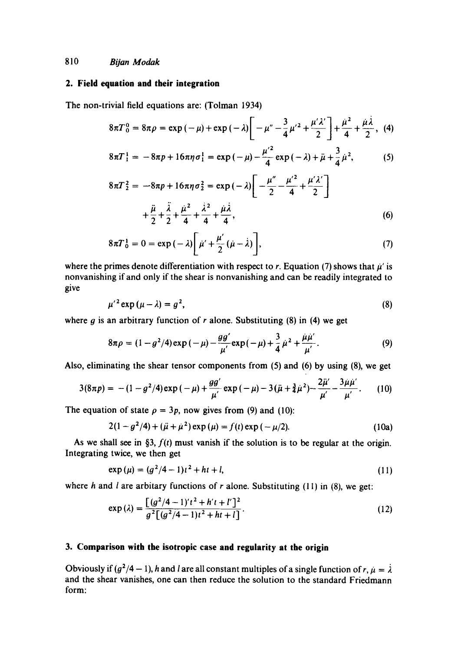# **2. Field equation and their integration**

The non-trivial field equations are: (Tolman 1934)

$$
8\pi T_0^0 = 8\pi \rho = \exp(-\mu) + \exp(-\lambda) \bigg[ -\mu'' - \frac{3}{4} \mu'^2 + \frac{\mu' \lambda'}{2} \bigg] + \frac{\mu^2}{4} + \frac{\mu \lambda}{2}, \tag{4}
$$

$$
8\pi T_{1}^{1} = -8\pi p + 16\pi \eta \sigma_{1}^{1} = \exp(-\mu) - \frac{\mu^{'2}}{4} \exp(-\lambda) + \ddot{\mu} + \frac{3}{4} \dot{\mu}^{2},
$$
 (5)

$$
8\pi T_2^2 = -8\pi p + 16\pi \eta \sigma_2^2 = \exp(-\lambda) \left[ -\frac{\mu''}{2} - \frac{\mu'^2}{4} + \frac{\mu' \lambda'}{2} \right] + \frac{\ddot{\mu}}{2} + \frac{\ddot{\lambda}}{2} + \frac{\mu^2}{4} + \frac{\dot{\lambda}^2}{4} + \frac{\dot{\mu} \dot{\lambda}}{4},
$$
(6)

$$
8\pi T_0^1 = 0 = \exp\left(-\lambda\right) \left[\mu' + \frac{\mu'}{2}(\mu - \lambda)\right],\tag{7}
$$

where the primes denote differentiation with respect to r. Equation (7) shows that  $\mu'$  is nonvanishing if and only if the shear is nonvanishing and can be readily integrated to give

$$
\mu'^2 \exp\left(\mu - \lambda\right) = g^2,\tag{8}
$$

where g is an arbitrary function of r alone. Substituting  $(8)$  in  $(4)$  we get

$$
8\pi \rho = (1 - g^2/4) \exp(-\mu) - \frac{gg'}{\mu'} \exp(-\mu) + \frac{3}{4} \mu^2 + \frac{\mu \mu'}{\mu'}.
$$
 (9)

Also, eliminating the shear tensor components from (5) and (6) by using (8), we get

$$
3(8\pi p) = -(1 - g^2/4) \exp(-\mu) + \frac{gg'}{\mu'} \exp(-\mu) - 3(\ddot{\mu} + \frac{3}{4}\dot{\mu}^2) - \frac{2\ddot{\mu}'}{\mu'} - \frac{3\dot{\mu}\dot{\mu}'}{\mu'}.
$$
 (10)

The equation of state  $\rho = 3p$ , now gives from (9) and (10):

$$
2(1 - g2/4) + (\ddot{\mu} + \dot{\mu}2) \exp{(\mu)} = f(t) \exp{(-\mu/2)}.
$$
 (10a)

As we shall see in §3,  $f(t)$  must vanish if the solution is to be regular at the origin. Integrating twice, we then get

$$
\exp(\mu) = (g^2/4 - 1)t^2 + ht + l,\tag{11}
$$

where h and l are arbitary functions of r alone. Substituting (11) in (8), we get:

$$
\exp\left(\lambda\right) = \frac{\left[ \left(g^2/4 - 1\right)'\left(t^2 + h'\left(t + l'\right)\right)^2 \right]}{g^2 \left[ \left(g^2/4 - 1\right)\left(t^2 + h\left(t + l\right)\right)}.\tag{12}
$$

#### **3. Comparison with the isotropic case and regularity at the origin**

Obviously if  $(g^2/4 - 1)$ , h and l are all constant multiples of a single function of  $r, \mu = \lambda$ . and the shear vanishes, one can then reduce the solution to the standard Friedmann form: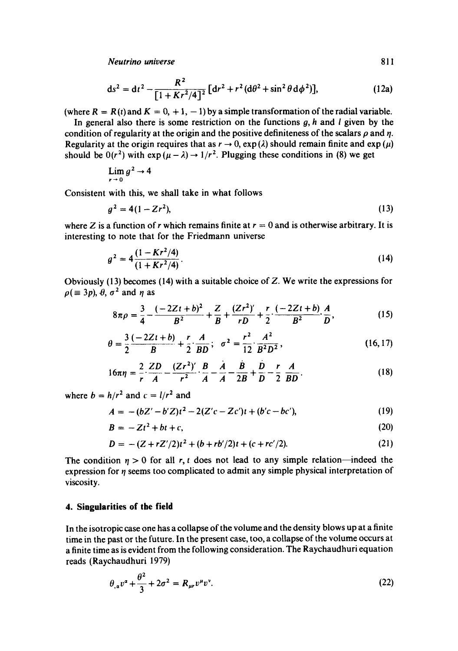*Neutrino universe 811* 

$$
ds^{2} = dt^{2} - \frac{R^{2}}{[1 + Kr^{2}/4]^{2}} [dr^{2} + r^{2} (d\theta^{2} + \sin^{2} \theta d\phi^{2})],
$$
 (12a)

(where  $R = R(t)$  and  $K = 0, +1, -1$ ) by a simple transformation of the radial variable.

In general also there is some restriction on the functions  $g$ ,  $h$  and  $l$  given by the condition of regularity at the origin and the positive definiteness of the scalars  $\rho$  and  $\eta$ . Regularity at the origin requires that as  $r \to 0$ ,  $\exp(\lambda)$  should remain finite and  $\exp(\mu)$ should be  $0(r^2)$  with  $\exp((\mu - \lambda) \rightarrow 1/r^2)$ . Plugging these conditions in (8) we get

$$
\lim_{r\to 0} g^2 \to 4
$$

Consistent with this, we shall take in what follows

$$
g^2 = 4(1 - Zr^2),\tag{13}
$$

where Z is a function of r which remains finite at  $r = 0$  and is otherwise arbitrary. It is interesting to note that for the Friedmann universe

$$
g^2 = 4\frac{(1 - Kr^2/4)}{(1 + Kr^2/4)}.
$$
 (14)

Obviously (l 3) becomes (14) with a suitable choice of Z. We write the expressions for  $\rho \equiv 3p$ ,  $\theta$ ,  $\sigma^2$  and *n* as

$$
8\pi\rho = \frac{3}{4} - \frac{(-2Zt + b)^2}{B^2} + \frac{Z}{B} + \frac{(Zr^2)'}{rD} + \frac{r}{2} \cdot \frac{(-2Zt + b)}{B^2} \cdot \frac{A}{D},
$$
 (15)

$$
\theta = \frac{3}{2} \frac{(-2Zt + b)}{B} + \frac{r}{2} \frac{A}{BD}; \quad \sigma^2 = \frac{r^2}{12} \frac{A^2}{B^2 D^2},
$$
 (16, 17)

$$
16\pi\eta = \frac{2}{r} \cdot \frac{ZD}{A} - \frac{(Zr^2)'}{r^2} \cdot \frac{B}{A} - \frac{A}{A} - \frac{B}{2B} + \frac{D}{D} - \frac{r}{2} \frac{A}{BD}.
$$
 (18)

where  $b = h/r^2$  and  $c = l/r^2$  and

$$
A = -(bZ' - b'Z)t^2 - 2(Z'c - Zc')t + (b'c - bc'),
$$
\n(19)

$$
B = -Zt^2 + bt + c,\tag{20}
$$

$$
D = -(Z + rZ')/2)t^2 + (b + rb'/2)t + (c + rc'/2).
$$
 (21)

The condition  $\eta > 0$  for all r, t does not lead to any simple relation-indeed the expression for  $\eta$  seems too complicated to admit any simple physical interpretation of viscosity.

# **4. Singularities of the field**

In the isotropic case one has a collapse of the volume and the density blows up at a finite time in the past or the future. In the present case, too, a collapse of the volume occurs at a finite time as is evident from the following consideration. The Raychaudhuri equation reads (Raychaudhuri 1979)

$$
\theta_{,\alpha}v^{\alpha} + \frac{\theta^2}{3} + 2\sigma^2 = R_{\mu\nu}v^{\mu}v^{\nu}.
$$
 (22)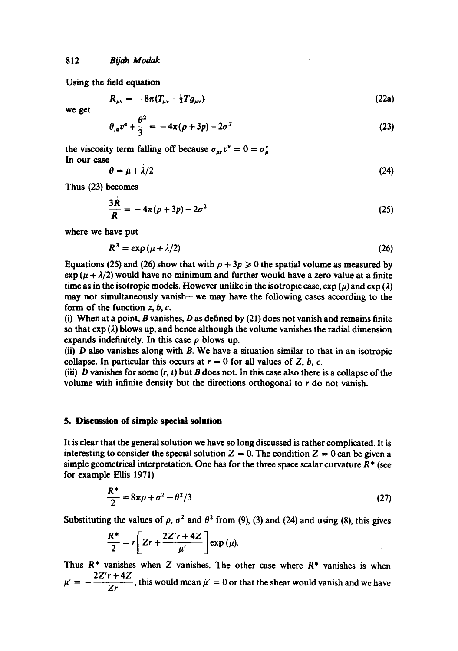Using the field equation

$$
R_{\mu\nu} = -8\pi (T_{\mu\nu} - \frac{1}{2}Tg_{\mu\nu})
$$
 (22a)

we get

$$
\theta_{,a}v^{\alpha} + \frac{\theta^2}{3} = -4\pi(\rho + 3p) - 2\sigma^2
$$
 (23)

the viscosity term falling off because  $\sigma_{ur} v^{\nu} = 0 = \sigma_u^{\nu}$ In our case

$$
\theta = \dot{\mu} + \dot{\lambda}/2 \tag{24}
$$

Thus (23) becomes

$$
\frac{3R}{R} = -4\pi(\rho + 3p) - 2\sigma^2 \tag{25}
$$

where we have put

$$
R^3 = \exp\left(\mu + \lambda/2\right) \tag{26}
$$

Equations (25) and (26) show that with  $\rho + 3p \ge 0$  the spatial volume as measured by  $\exp(\mu + \lambda/2)$  would have no minimum and further would have a zero value at a finite time as in the isotropic models. However unlike in the isotropic case,  $\exp(\mu)$  and  $\exp(\lambda)$ may not simultaneously vanish—we may have the following cases according to the form of the function  $z, b, c$ .

(i) When at a point, B vanishes,  $D$  as defined by (21) does not vanish and remains finite so that  $exp(\lambda)$  blows up, and hence although the volume vanishes the radial dimension expands indefinitely. In this case  $\rho$  blows up.

(ii)  $D$  also vanishes along with  $B$ . We have a situation similar to that in an isotropic collapse. In particular this occurs at  $r = 0$  for all values of Z, b, c.

(iii) D vanishes for some  $(r, t)$  but B does not. In this case also there is a collapse of the volume with infinite density but the directions orthogonal to  $r$  do not vanish.

#### **5. Discussion of simple special solution**

It is clear that the general solution we have so long discussed is rather complicated. It is interesting to consider the special solution  $Z = 0$ . The condition  $Z = 0$  can be given a simple geometrical interpretation. One has for the three space scalar curvature  $R^*$  (see for example Ellis 1971)

$$
\frac{R^*}{2} = 8\pi\rho + \sigma^2 - \theta^2/3
$$
 (27)

Substituting the values of  $\rho$ ,  $\sigma^2$  and  $\theta^2$  from (9), (3) and (24) and using (8), this gives

$$
\frac{R^*}{2} = r \bigg[ 2r + \frac{2Z'r + 4Z}{\mu'} \bigg] \exp{(\mu)}.
$$

Thus  $R^*$  vanishes when Z vanishes. The other case where  $R^*$  vanishes is when  $\mu' = -\frac{2Z' r + 4Z}{Zr}$ , this would mean  $\mu' = 0$  or that the shear would vanish and we have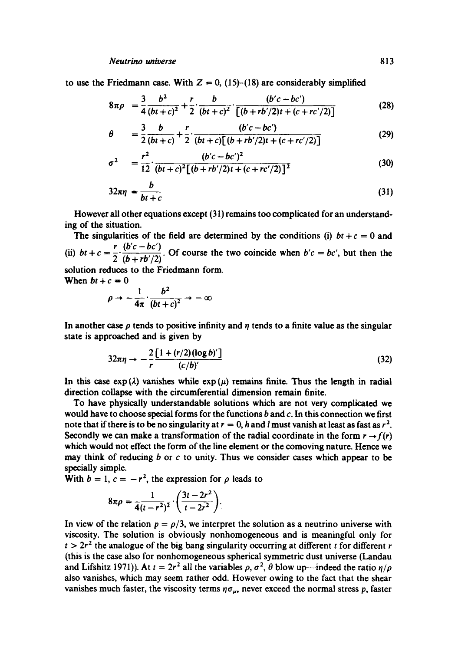to use the Friedmann case. With  $Z = 0$ , (15)-(18) are considerably simplified

$$
8\pi\rho = \frac{3}{4} \frac{b^2}{(bt+c)^2} + \frac{r}{2} \cdot \frac{b}{(bt+c)^2} \cdot \frac{(b'c-bc')}{[(b+rb'/2)t+(c+rc'/2)]}
$$
(28)

$$
\theta = \frac{3}{2} \frac{b}{(bt+c)} + \frac{r}{2} \cdot \frac{(b'c-bc')}{(bt+c)\left[(b+rb'/2)t + (c+rc'/2)\right]}
$$
(29)

$$
\sigma^2 = \frac{r^2}{12} \cdot \frac{(b'c - bc')^2}{(bt + c)^2 [(b + rb'/2)t + (c + rc'/2)]^2}
$$
(30)

$$
32\pi\eta = \frac{b}{bt+c} \tag{31}
$$

However all other equations except (31) remains too complicated for an understanding of the situation.

The singularities of the field are determined by the conditions (i)  $bt + c = 0$  and (ii)  $bt + c = \frac{r}{2} \cdot \frac{(b'c - bc')}{(b + r^2)(c^2)}$ . Of course the two coincide when  $b'c = bc'$ , but then the solution reduces to the Friedmann form.

When  $bt + c = 0$ 

$$
\rho \to -\frac{1}{4\pi} \cdot \frac{b^2}{(bt+c)^2} \to -\infty
$$

In another case  $\rho$  tends to positive infinity and  $\eta$  tends to a finite value as the singular state is approached and is given by

$$
32\pi\eta \rightarrow -\frac{2}{r} \frac{\left[1 + \frac{r}{2}\right] (\log b)'}{(c/b)}\tag{32}
$$

In this case  $exp(\lambda)$  vanishes while  $exp(\mu)$  remains finite. Thus the length in radial direction collapse with the circumferential dimension remain finite.

To have physically understandable solutions which are not very complicated we would have to choose special forms for the functions  $b$  and  $c$ . In this connection we first note that if there is to be no singularity at  $r = 0$ , h and l must vanish at least as fast as  $r^2$ . Secondly we can make a transformation of the radial coordinate in the form  $r \rightarrow f(r)$ which would not effect the form of the line element or the comoving nature. Hence we may think of reducing  $b$  or  $c$  to unity. Thus we consider cases which appear to be specially simple.

With  $b = 1$ ,  $c = -r^2$ , the expression for  $\rho$  leads to

$$
8\pi\rho=\frac{1}{4(t-r^2)^2}\cdot\left(\frac{3t-2r^2}{t-2r^2}\right).
$$

In view of the relation  $p = \rho/3$ , we interpret the solution as a neutrino universe with viscosity. The solution is obviously nonhomogeneous and is meaningful only for  $t > 2r<sup>2</sup>$  the analogue of the big bang singularity occurring at different t for different r (this is the case also for nonhomogeneous spherical symmetric dust universe (Landau and Lifshitz 1971)). At  $t = 2r^2$  all the variables  $\rho$ ,  $\sigma^2$ ,  $\theta$  blow up—indeed the ratio  $\eta/\rho$ also vanishes, which may seem rather odd. However owing to the fact that the shear vanishes much faster, the viscosity terms  $\eta \sigma_{uv}$  never exceed the normal stress p, faster